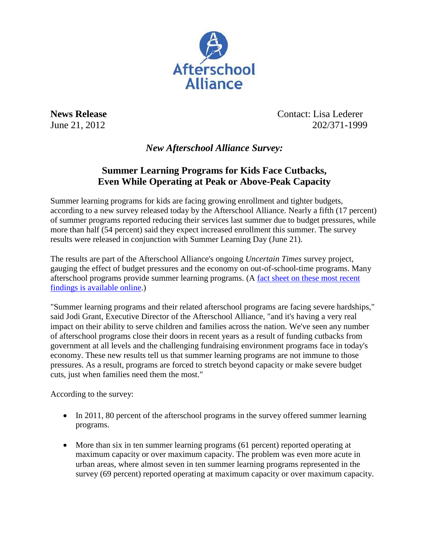

**News Release** Contact: Lisa Lederer June 21, 2012 202/371-1999

*New Afterschool Alliance Survey:*

## **Summer Learning Programs for Kids Face Cutbacks, Even While Operating at Peak or Above-Peak Capacity**

Summer learning programs for kids are facing growing enrollment and tighter budgets, according to a new survey released today by the Afterschool Alliance. Nearly a fifth (17 percent) of summer programs reported reducing their services last summer due to budget pressures, while more than half (54 percent) said they expect increased enrollment this summer. The survey results were released in conjunction with Summer Learning Day (June 21).

The results are part of the Afterschool Alliance's ongoing *Uncertain Times* survey project, gauging the effect of budget pressures and the economy on out-of-school-time programs. Many afterschool programs provide summer learning programs. (A [fact sheet on these most recent](http://www.afterschoolalliance.org/UncertainTimes2012_SummerLearningMatters.pdf)  [findings is available online.](http://www.afterschoolalliance.org/UncertainTimes2012_SummerLearningMatters.pdf))

"Summer learning programs and their related afterschool programs are facing severe hardships," said Jodi Grant, Executive Director of the Afterschool Alliance, "and it's having a very real impact on their ability to serve children and families across the nation. We've seen any number of afterschool programs close their doors in recent years as a result of funding cutbacks from government at all levels and the challenging fundraising environment programs face in today's economy. These new results tell us that summer learning programs are not immune to those pressures. As a result, programs are forced to stretch beyond capacity or make severe budget cuts, just when families need them the most."

According to the survey:

- In 2011, 80 percent of the afterschool programs in the survey offered summer learning programs.
- More than six in ten summer learning programs (61 percent) reported operating at maximum capacity or over maximum capacity. The problem was even more acute in urban areas, where almost seven in ten summer learning programs represented in the survey (69 percent) reported operating at maximum capacity or over maximum capacity.